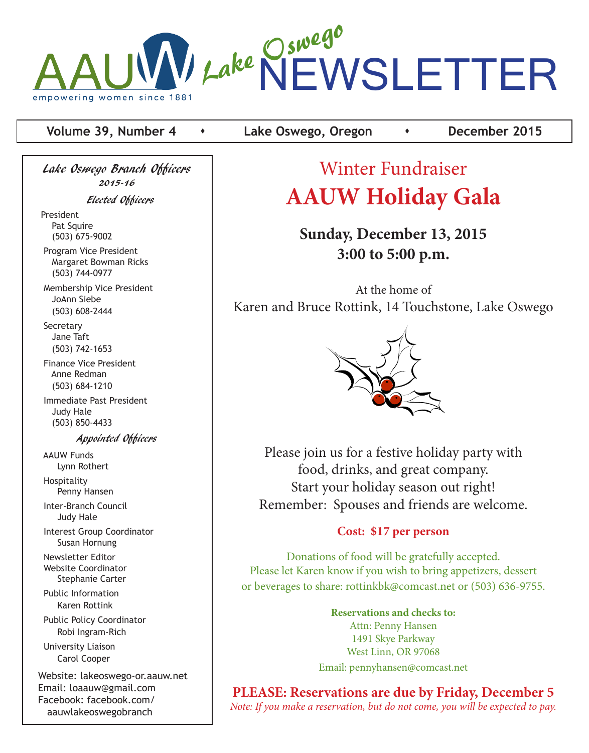

#### **Volume 39, Number 4 c c** Lake Oswego, Oregon **c c c** December 2015

Lake Oswego Branch Officers 2015-16 Elected Officers

President Pat Squire (503) 675-9002

 Program Vice President Margaret Bowman Ricks (503) 744-0977

 Membership Vice President JoAnn Siebe (503) 608-2444

 Secretary Jane Taft (503) 742-1653

 Finance Vice President Anne Redman (503) 684-1210

 Immediate Past President Judy Hale (503) 850-4433

Appointed Officers

 AAUW Funds Lynn Rothert Hospitality Penny Hansen Inter-Branch Council Judy Hale Interest Group Coordinator Susan Hornung Newsletter Editor Website Coordinator Stephanie Carter Public Information Karen Rottink Public Policy Coordinator Robi Ingram-Rich

 University Liaison Carol Cooper

Website: lakeoswego-or.aauw.net Email: loaauw@gmail.com Facebook: facebook.com/ aauwlakeoswegobranch

# Winter Fundraiser **AAUW Holiday Gala**

# **Sunday, December 13, 2015 3:00 to 5:00 p.m.**

At the home of Karen and Bruce Rottink, 14 Touchstone, Lake Oswego



Please join us for a festive holiday party with food, drinks, and great company. Start your holiday season out right! Remember: Spouses and friends are welcome.

### **Cost: \$17 per person**

Donations of food will be gratefully accepted. Please let Karen know if you wish to bring appetizers, dessert or beverages to share: rottinkbk@comcast.net or (503) 636-9755.

> **Reservations and checks to:** Attn: Penny Hansen 1491 Skye Parkway West Linn, OR 97068 Email: pennyhansen@comcast.net

**PLEASE: Reservations are due by Friday, December 5** *Note: If you make a reservation, but do not come, you will be expected to pay.*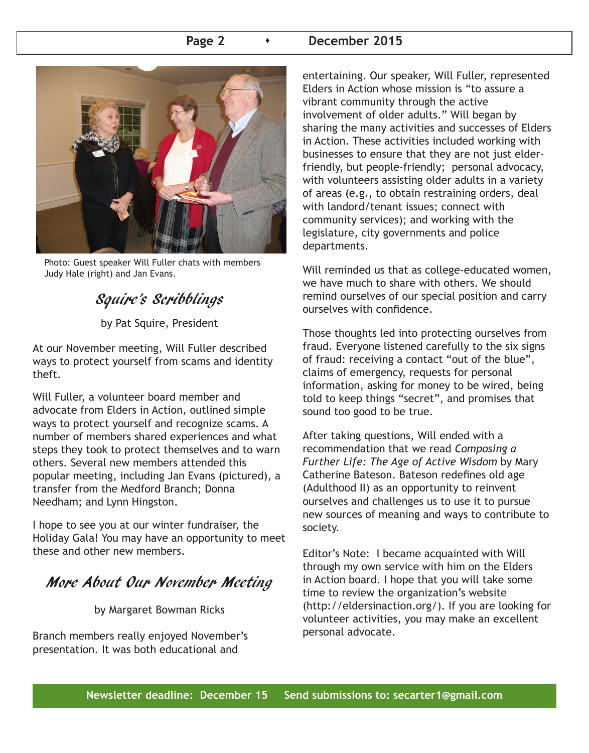#### Page 2 **b December 2015**



Photo: Guest speaker Will Fuller chats with members Judy Hale (right) and Jan Evans.

# Squire's Scribblings

by Pat Squire, President

At our November meeting, Will Fuller described ways to protect yourself from scams and identity theft.

Will Fuller, a volunteer board member and advocate from Elders in Action, outlined simple ways to protect yourself and recognize scams. A number of members shared experiences and what steps they took to protect themselves and to warn others. Several new members attended this popular meeting, including Jan Evans (pictured), a transfer from the Medford Branch; Donna Needham; and Lynn Hingston.

I hope to see you at our winter fundraiser, the Holiday Gala! You may have an opportunity to meet these and other new members.

# More About Our November Meeting

by Margaret Bowman Ricks

Branch members really enjoyed November's presentation. It was both educational and

entertaining. Our speaker, Will Fuller, represented Elders in Action whose mission is "to assure a vibrant community through the active involvement of older adults." Will began by sharing the many activities and successes of Elders in Action. These activities included working with businesses to ensure that they are not just elderfriendly, but people-friendly; personal advocacy, with volunteers assisting older adults in a variety of areas (e.g., to obtain restraining orders, deal with landord/tenant issues; connect with community services); and working with the legislature, city governments and police departments.

Will reminded us that as college-educated women, we have much to share with others. We should remind ourselves of our special position and carry ourselves with confidence.

Those thoughts led into protecting ourselves from fraud. Everyone listened carefully to the six signs of fraud: receiving a contact "out of the blue", claims of emergency, requests for personal information, asking for money to be wired, being told to keep things "secret", and promises that sound too good to be true.

After taking questions, Will ended with a recommendation that we read *Composing a Further Life: The Age of Active Wisdom* by Mary Catherine Bateson. Bateson redefines old age (Adulthood II) as an opportunity to reinvent ourselves and challenges us to use it to pursue new sources of meaning and ways to contribute to society.

Editor's Note: I became acquainted with Will through my own service with him on the Elders in Action board. I hope that you will take some time to review the organization's website (http://eldersinaction.org/). If you are looking for volunteer activities, you may make an excellent personal advocate.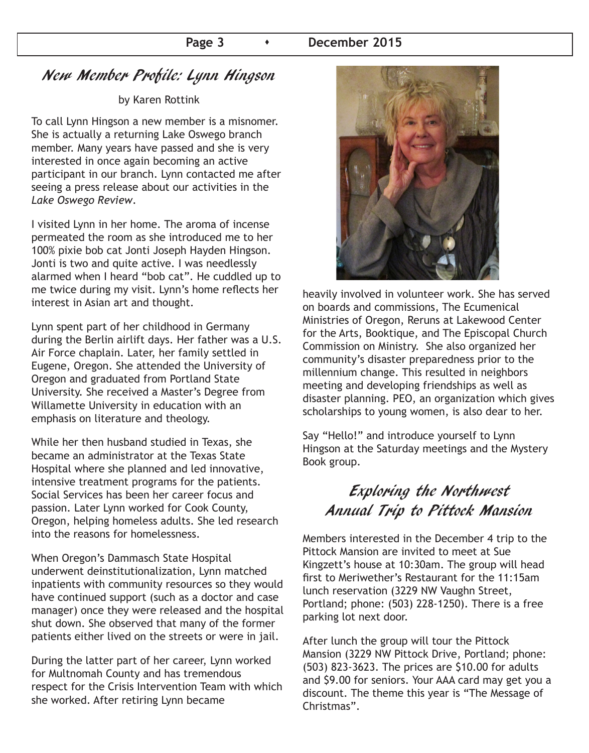# New Member Profile: Lynn Hingson

#### by Karen Rottink

To call Lynn Hingson a new member is a misnomer. She is actually a returning Lake Oswego branch member. Many years have passed and she is very interested in once again becoming an active participant in our branch. Lynn contacted me after seeing a press release about our activities in the *Lake Oswego Review*.

I visited Lynn in her home. The aroma of incense permeated the room as she introduced me to her 100% pixie bob cat Jonti Joseph Hayden Hingson. Jonti is two and quite active. I was needlessly alarmed when I heard "bob cat". He cuddled up to me twice during my visit. Lynn's home reflects her interest in Asian art and thought.

Lynn spent part of her childhood in Germany during the Berlin airlift days. Her father was a U.S. Air Force chaplain. Later, her family settled in Eugene, Oregon. She attended the University of Oregon and graduated from Portland State University. She received a Master's Degree from Willamette University in education with an emphasis on literature and theology.

While her then husband studied in Texas, she became an administrator at the Texas State Hospital where she planned and led innovative, intensive treatment programs for the patients. Social Services has been her career focus and passion. Later Lynn worked for Cook County, Oregon, helping homeless adults. She led research into the reasons for homelessness.

When Oregon's Dammasch State Hospital underwent deinstitutionalization, Lynn matched inpatients with community resources so they would have continued support (such as a doctor and case manager) once they were released and the hospital shut down. She observed that many of the former patients either lived on the streets or were in jail.

During the latter part of her career, Lynn worked for Multnomah County and has tremendous respect for the Crisis Intervention Team with which she worked. After retiring Lynn became



heavily involved in volunteer work. She has served on boards and commissions, The Ecumenical Ministries of Oregon, Reruns at Lakewood Center for the Arts, Booktique, and The Episcopal Church Commission on Ministry. She also organized her community's disaster preparedness prior to the millennium change. This resulted in neighbors meeting and developing friendships as well as disaster planning. PEO, an organization which gives scholarships to young women, is also dear to her.

Say "Hello!" and introduce yourself to Lynn Hingson at the Saturday meetings and the Mystery Book group.

# Exploring the Northwest Annual Trip to Pittock Mansion

Members interested in the December 4 trip to the Pittock Mansion are invited to meet at Sue Kingzett's house at 10:30am. The group will head first to Meriwether's Restaurant for the 11:15am lunch reservation (3229 NW Vaughn Street, Portland; phone: (503) 228-1250). There is a free parking lot next door.

After lunch the group will tour the Pittock Mansion (3229 NW Pittock Drive, Portland; phone: (503) 823-3623. The prices are \$10.00 for adults and \$9.00 for seniors. Your AAA card may get you a discount. The theme this year is "The Message of Christmas".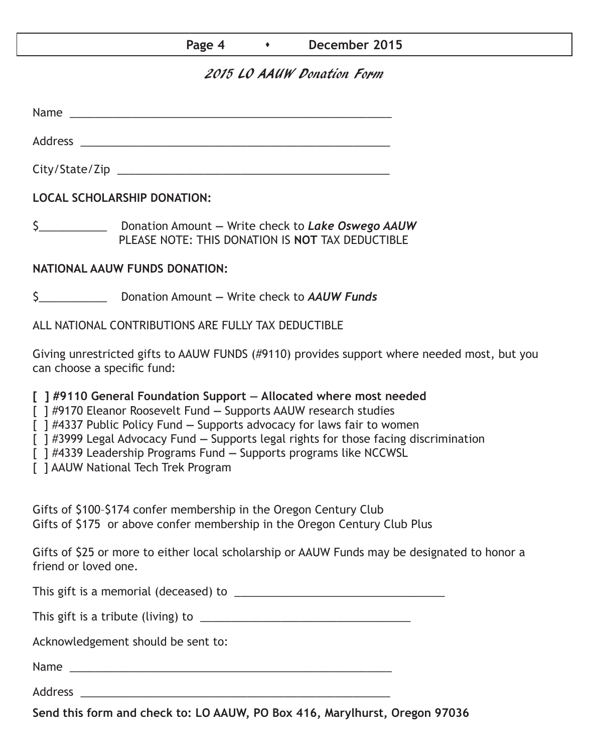| Page 4 | December 2015 |
|--------|---------------|
|--------|---------------|

### 2015 LO AAUW Donation Form

Name  $\sim$ 

City/State/Zip \_\_\_\_\_\_\_\_\_\_\_\_\_\_\_\_\_\_\_\_\_\_\_\_\_\_\_\_\_\_\_\_\_\_\_\_\_\_\_\_\_\_\_\_

Address \_\_\_\_\_\_\_\_\_\_\_\_\_\_\_\_\_\_\_\_\_\_\_\_\_\_\_\_\_\_\_\_\_\_\_\_\_\_\_\_\_\_\_\_\_\_\_\_\_\_

**LOCAL SCHOLARSHIP DONATION:**

\$\_\_\_\_\_\_\_\_\_\_\_ Donation Amount **—** Write check to *Lake Oswego AAUW* PLEASE NOTE: THIS DONATION IS **NOT** TAX DEDUCTIBLE

#### **NATIONAL AAUW FUNDS DONATION:**

\$\_\_\_\_\_\_\_\_\_\_\_ Donation Amount **—** Write check to *AAUW Funds*

ALL NATIONAL CONTRIBUTIONS ARE FULLY TAX DEDUCTIBLE

Giving unrestricted gifts to AAUW FUNDS (#9110) provides support where needed most, but you can choose a specific fund:

**[ ] #9110 General Foundation Support — Allocated where most needed** 

[ ] #9170 Eleanor Roosevelt Fund **—** Supports AAUW research studies

[ ] #4337 Public Policy Fund **—** Supports advocacy for laws fair to women

[ ] #3999 Legal Advocacy Fund **—** Supports legal rights for those facing discrimination

[ ] #4339 Leadership Programs Fund **—** Supports programs like NCCWSL

[ ] AAUW National Tech Trek Program

Gifts of \$100–\$174 confer membership in the Oregon Century Club Gifts of \$175 or above confer membership in the Oregon Century Club Plus

Gifts of \$25 or more to either local scholarship or AAUW Funds may be designated to honor a friend or loved one.

This gift is a memorial (deceased) to \_\_\_\_\_\_\_\_\_\_\_\_\_\_\_\_\_\_\_\_\_\_\_\_\_\_\_\_\_\_\_\_\_\_

This gift is a tribute (living) to \_\_\_\_\_\_\_\_\_\_\_\_\_\_\_\_\_\_\_\_\_\_\_\_\_\_\_\_\_\_\_\_\_\_

Acknowledgement should be sent to:

Name \_\_\_\_\_\_\_\_\_\_\_\_\_\_\_\_\_\_\_\_\_\_\_\_\_\_\_\_\_\_\_\_\_\_\_\_\_\_\_\_\_\_\_\_\_\_\_\_\_\_\_\_

Address \_\_\_\_\_\_\_\_\_\_\_\_\_\_\_\_\_\_\_\_\_\_\_\_\_\_\_\_\_\_\_\_\_\_\_\_\_\_\_\_\_\_\_\_\_\_\_\_\_\_

**Send this form and check to: LO AAUW, PO Box 416, Marylhurst, Oregon 97036**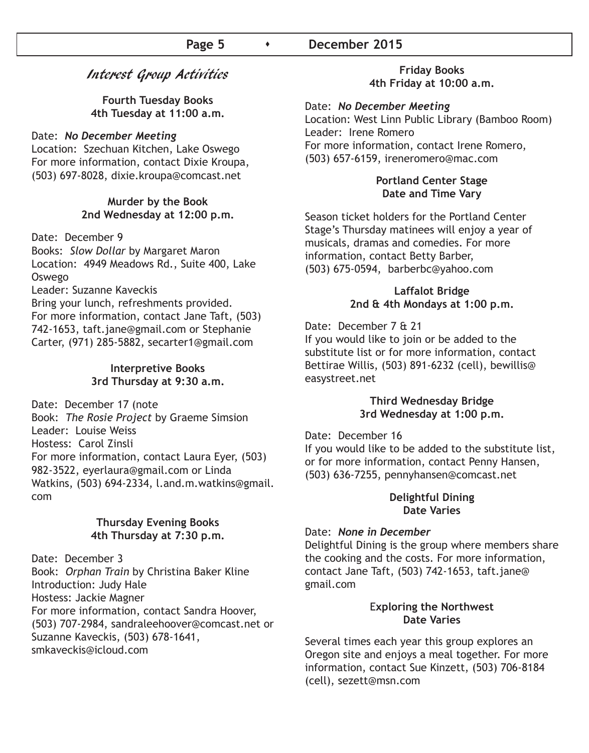#### **Page 5 b December 2015**

#### Interest Group Activities

**Fourth Tuesday Books 4th Tuesday at 11:00 a.m.**

#### Date: *No December Meeting*

Location: Szechuan Kitchen, Lake Oswego For more information, contact Dixie Kroupa, (503) 697-8028, dixie.kroupa@comcast.net

#### **Murder by the Book 2nd Wednesday at 12:00 p.m.**

Date: December 9

Books: *Slow Dollar* by Margaret Maron Location: 4949 Meadows Rd., Suite 400, Lake Oswego

Leader: Suzanne Kaveckis

Bring your lunch, refreshments provided. For more information, contact Jane Taft, (503) 742-1653, taft.jane@gmail.com or Stephanie Carter, (971) 285-5882, secarter1@gmail.com

#### **Interpretive Books 3rd Thursday at 9:30 a.m.**

Date: December 17 (note Book: *The Rosie Project* by Graeme Simsion Leader: Louise Weiss Hostess: Carol Zinsli For more information, contact Laura Eyer, (503) 982-3522, eyerlaura@gmail.com or Linda Watkins, (503) 694-2334, l.and.m.watkins@gmail. com

#### **Thursday Evening Books 4th Thursday at 7:30 p.m.**

Date: December 3 Book: *Orphan Train* by Christina Baker Kline Introduction: Judy Hale Hostess: Jackie Magner For more information, contact Sandra Hoover, (503) 707-2984, sandraleehoover@comcast.net or Suzanne Kaveckis, (503) 678-1641, smkaveckis@icloud.com

#### **Friday Books 4th Friday at 10:00 a.m.**

#### Date: *No December Meeting*

Location: West Linn Public Library (Bamboo Room) Leader: Irene Romero For more information, contact Irene Romero, (503) 657-6159, ireneromero@mac.com

#### **Portland Center Stage Date and Time Vary**

Season ticket holders for the Portland Center Stage's Thursday matinees will enjoy a year of musicals, dramas and comedies. For more information, contact Betty Barber, (503) 675-0594, barberbc@yahoo.com

#### **Laffalot Bridge 2nd & 4th Mondays at 1:00 p.m.**

Date: December 7 & 21 If you would like to join or be added to the substitute list or for more information, contact Bettirae Willis, (503) 891-6232 (cell), bewillis@ easystreet.net

#### **Third Wednesday Bridge 3rd Wednesday at 1:00 p.m.**

Date: December 16

If you would like to be added to the substitute list, or for more information, contact Penny Hansen, (503) 636-7255, pennyhansen@comcast.net

#### **Delightful Dining Date Varies**

#### Date: *None in December*

Delightful Dining is the group where members share the cooking and the costs. For more information, contact Jane Taft, (503) 742-1653, taft.jane@ gmail.com

#### E**xploring the Northwest Date Varies**

Several times each year this group explores an Oregon site and enjoys a meal together. For more information, contact Sue Kinzett, (503) 706-8184 (cell), sezett@msn.com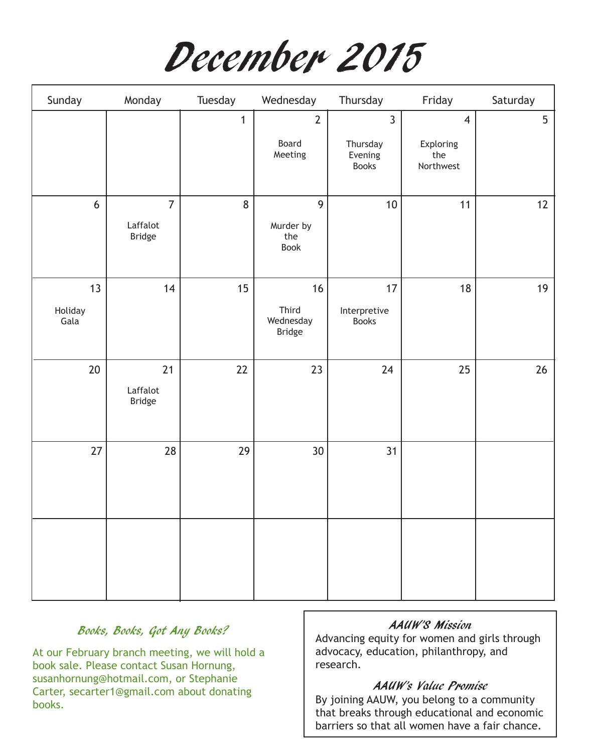December 2015

| Sunday                | Monday                                      | Tuesday      | Wednesday                                  | Thursday                                              | Friday                                          | Saturday |
|-----------------------|---------------------------------------------|--------------|--------------------------------------------|-------------------------------------------------------|-------------------------------------------------|----------|
|                       |                                             | $\mathbf{1}$ | $\overline{2}$<br>Board<br>Meeting         | $\overline{3}$<br>Thursday<br>Evening<br><b>Books</b> | $\overline{4}$<br>Exploring<br>the<br>Northwest | 5        |
| 6                     | $\overline{7}$<br>Laffalot<br><b>Bridge</b> | $\bf 8$      | $\overline{9}$<br>Murder by<br>the<br>Book | 10                                                    | 11                                              | 12       |
| 13<br>Holiday<br>Gala | 14                                          | 15           | 16<br>Third<br>Wednesday<br>Bridge         | 17<br>Interpretive<br><b>Books</b>                    | 18                                              | 19       |
| $20\,$                | 21<br>Laffalot<br>Bridge                    | 22           | 23                                         | 24                                                    | 25                                              | 26       |
| 27                    | 28                                          | 29           | 30 <sup>°</sup>                            | 31                                                    |                                                 |          |
|                       |                                             |              |                                            |                                                       |                                                 |          |

#### Books, Books, Got Any Books?

At our February branch meeting, we will hold a book sale. Please contact Susan Hornung, susanhornung@hotmail.com, or Stephanie Carter, secarter1@gmail.com about donating books.

#### AAUW'S Mission

Advancing equity for women and girls through advocacy, education, philanthropy, and research.

#### AAUW's Value Promise

By joining AAUW, you belong to a community that breaks through educational and economic barriers so that all women have a fair chance.